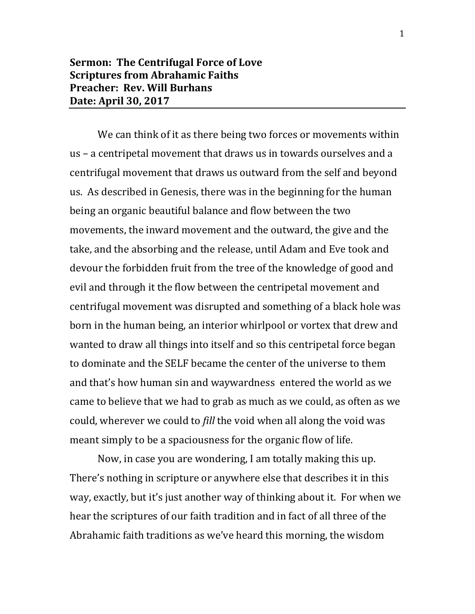## **Sermon: The Centrifugal Force of Love Scriptures from Abrahamic Faiths Preacher: Rev. Will Burhans Date: April 30, 2017**

We can think of it as there being two forces or movements within us – a centripetal movement that draws us in towards ourselves and a centrifugal movement that draws us outward from the self and beyond us. As described in Genesis, there was in the beginning for the human being an organic beautiful balance and flow between the two movements, the inward movement and the outward, the give and the take, and the absorbing and the release, until Adam and Eve took and devour the forbidden fruit from the tree of the knowledge of good and evil and through it the flow between the centripetal movement and centrifugal movement was disrupted and something of a black hole was born in the human being, an interior whirlpool or vortex that drew and wanted to draw all things into itself and so this centripetal force began to dominate and the SELF became the center of the universe to them and that's how human sin and waywardness entered the world as we came to believe that we had to grab as much as we could, as often as we could, wherever we could to *fill* the void when all along the void was meant simply to be a spaciousness for the organic flow of life.

Now, in case you are wondering, I am totally making this up. There's nothing in scripture or anywhere else that describes it in this way, exactly, but it's just another way of thinking about it. For when we hear the scriptures of our faith tradition and in fact of all three of the Abrahamic faith traditions as we've heard this morning, the wisdom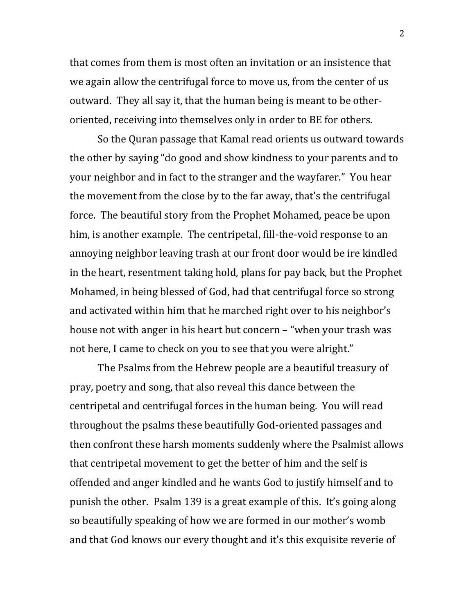that comes from them is most often an invitation or an insistence that we again allow the centrifugal force to move us, from the center of us outward. They all say it, that the human being is meant to be otheroriented, receiving into themselves only in order to BE for others.

So the Quran passage that Kamal read orients us outward towards the other by saying "do good and show kindness to your parents and to your neighbor and in fact to the stranger and the wayfarer." You hear the movement from the close by to the far away, that's the centrifugal force. The beautiful story from the Prophet Mohamed, peace be upon him, is another example. The centripetal, fill-the-void response to an annoying neighbor leaving trash at our front door would be ire kindled in the heart, resentment taking hold, plans for pay back, but the Prophet Mohamed, in being blessed of God, had that centrifugal force so strong and activated within him that he marched right over to his neighbor's house not with anger in his heart but concern – "when your trash was not here, I came to check on you to see that you were alright."

The Psalms from the Hebrew people are a beautiful treasury of pray, poetry and song, that also reveal this dance between the centripetal and centrifugal forces in the human being. You will read throughout the psalms these beautifully God-oriented passages and then confront these harsh moments suddenly where the Psalmist allows that centripetal movement to get the better of him and the self is offended and anger kindled and he wants God to justify himself and to punish the other. Psalm 139 is a great example of this. It's going along so beautifully speaking of how we are formed in our mother's womb and that God knows our every thought and it's this exquisite reverie of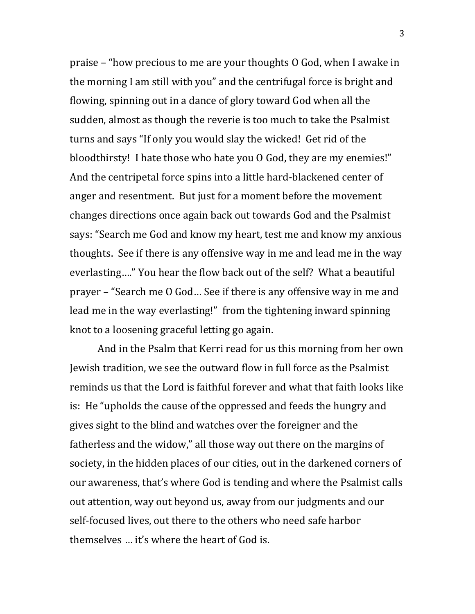praise – "how precious to me are your thoughts O God, when I awake in the morning I am still with you" and the centrifugal force is bright and flowing, spinning out in a dance of glory toward God when all the sudden, almost as though the reverie is too much to take the Psalmist turns and says "If only you would slay the wicked! Get rid of the bloodthirsty! I hate those who hate you O God, they are my enemies!" And the centripetal force spins into a little hard-blackened center of anger and resentment. But just for a moment before the movement changes directions once again back out towards God and the Psalmist says: "Search me God and know my heart, test me and know my anxious thoughts. See if there is any offensive way in me and lead me in the way everlasting…." You hear the flow back out of the self? What a beautiful prayer – "Search me O God… See if there is any offensive way in me and lead me in the way everlasting!" from the tightening inward spinning knot to a loosening graceful letting go again.

And in the Psalm that Kerri read for us this morning from her own Jewish tradition, we see the outward flow in full force as the Psalmist reminds us that the Lord is faithful forever and what that faith looks like is: He "upholds the cause of the oppressed and feeds the hungry and gives sight to the blind and watches over the foreigner and the fatherless and the widow," all those way out there on the margins of society, in the hidden places of our cities, out in the darkened corners of our awareness, that's where God is tending and where the Psalmist calls out attention, way out beyond us, away from our judgments and our self-focused lives, out there to the others who need safe harbor themselves … it's where the heart of God is.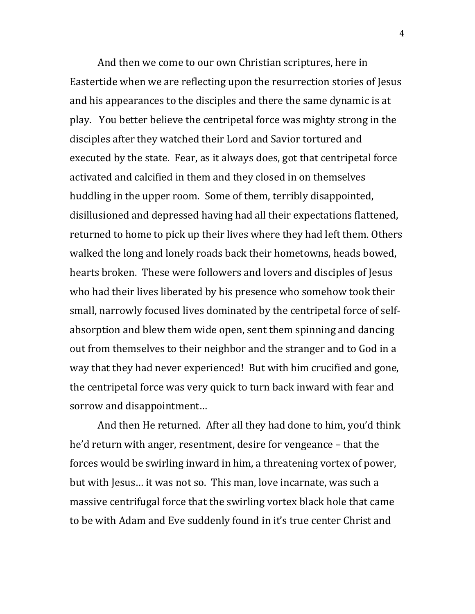And then we come to our own Christian scriptures, here in Eastertide when we are reflecting upon the resurrection stories of Jesus and his appearances to the disciples and there the same dynamic is at play. You better believe the centripetal force was mighty strong in the disciples after they watched their Lord and Savior tortured and executed by the state. Fear, as it always does, got that centripetal force activated and calcified in them and they closed in on themselves huddling in the upper room. Some of them, terribly disappointed, disillusioned and depressed having had all their expectations flattened, returned to home to pick up their lives where they had left them. Others walked the long and lonely roads back their hometowns, heads bowed, hearts broken. These were followers and lovers and disciples of Jesus who had their lives liberated by his presence who somehow took their small, narrowly focused lives dominated by the centripetal force of selfabsorption and blew them wide open, sent them spinning and dancing out from themselves to their neighbor and the stranger and to God in a way that they had never experienced! But with him crucified and gone, the centripetal force was very quick to turn back inward with fear and sorrow and disappointment…

And then He returned. After all they had done to him, you'd think he'd return with anger, resentment, desire for vengeance – that the forces would be swirling inward in him, a threatening vortex of power, but with Jesus… it was not so. This man, love incarnate, was such a massive centrifugal force that the swirling vortex black hole that came to be with Adam and Eve suddenly found in it's true center Christ and